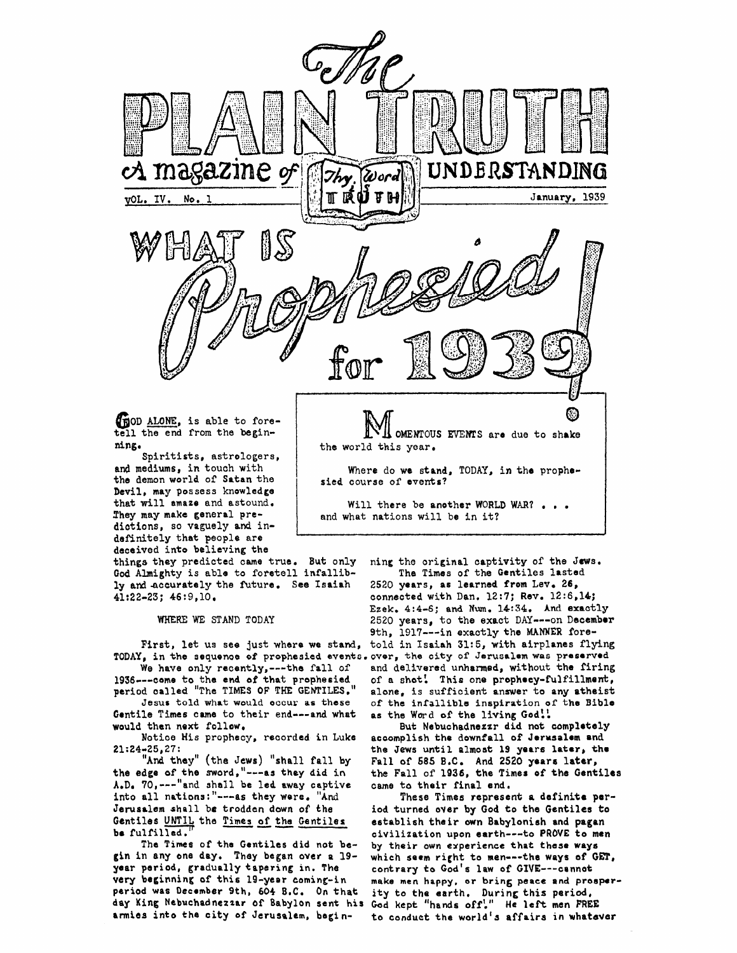

that will amaze and astound. They may make general predictions, so vaguely and indefinitely that people are deceived into believing the

things they predicted came true. But only God Almighty is able to foretell infallibly and accurately the future. See Isaiah  $41:22-23$ ;  $46:9,10$ .

WHERE WE STAND TODAY

TODAY, in the sequence of prophesied events. over, the city of Jerusalem was preserved

We have only recently, --- the fall of 1936---come to the end of that prophesied<br>period called "The TIMES OF THE GENTILES."

Jesus told what would occur as these Gentile Times came to their end---and what would then next follow.

Notice His prophecy, recorded in Luke  $21:24-25,27$ :

"And they" (the Jews) "shall fall by the edge of the sword,"---as they did in A.D. 70, --- "and shall be led away captive into all nations:"---as they were. "And Jerusalem shall be trodden down of the Gentiles UNTIL the Times of the Gentiles be fulfilled.

The Times of the Gentiles did not begin in any one day. They began over a 19year period, gradually tapering in. The very beginning of this 19-year coming-in period was December 9th, 604 B.C. On that day King Nebuchadnezzar of Babylon sent his God kept "hands off'." He left men FREE armies into the city of Jerusalem, begin-

ning the original captivity of the Jews. The Times of the Gentiles lasted

and what nations will be in it?

2520 years, as learned from Lev. 26, connected with Dan. 12:7; Rev. 12:6,14; Ezek. 4:4-6; and Num. 14:34. And exactly 2520 years, to the exact DAY --- on December 9th, 1917 --- in exactly the MANNER fore-First, let us see just where we stand, told in Isaiah 31:5, with airplanes flying and delivered unharmed, without the firing of a shot! This one prophecy-fulfillment, alone, is sufficient answer to any atheist of the infallible inspiration of the Bible as the Word of the living God!!

> But Nebuchadnezzr did not completely accomplish the downfall of Jerusalem and the Jews until almost 19 years later, the Fall of 585 B.C. And 2520 years later, the Fall of 1936, the Times of the Gentiles came to their final end.

> These Times represent a definite period turned over by God to the Gentiles to establish their own Babylonish and pagan civilization upon earth---to PROVE to men by their own experience that these ways which seem right to men---the ways of GET, contrary to God's law of GIVE---cannot make men happy, or bring peace and prosperity to the earth. During this period, to conduct the world's affairs in whatever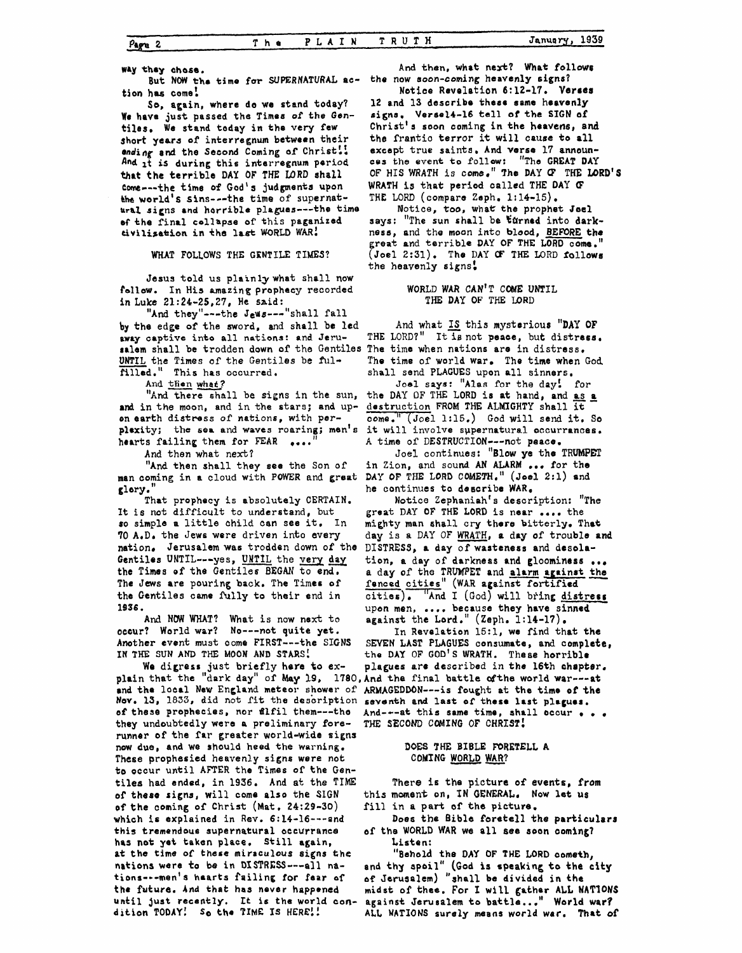way they chose.

 $\rho_{\rm age}$  2

But NOW the time for SUPERNATURAL action has come!

So, again, where do we stand today? We have just passed the Times of the Gentiles. We stand today in the very few short years of interregnum between their ending and the Second Coming of Christ! And it is during this interregnum period that the terrible DAY OF THE LORD shall come --- the time of God's judgments upon the world's sins---the time of supernatural signs and horrible plagues---the time of the final collapse of this paganized divilization in the last WORLD WAR!

WHAT FOLLOWS THE GENTILE TIMES?

Jesus told us plainly what shall now follow. In His amazing prophecy recorded in Luke 21:24-25, 27, He said:

"And they"---the Jews---"shall fall by the edge of the sword, and shall be led away captive into all nations: and Jerusalem shall be trodden down of the Gentiles UNTIL the Times of the Gentiles be fulfilled." This has occurred.

And then what?

"And there shall be signs in the sun, and in the moon, and in the stars; and upon earth distress of nations, with perplexity; the sea and waves roaring; men's hearts failing them for FEAR ....

And then what next?

"And then shall they see the Son of man coming in a cloud with POWER and great glory.

That prophecy is absolutely CERTAIN. It is not difficult to understand, but so simple a little child can see it. In 70 A.D. the Jews were driven into every nation. Jerusalem was trodden down of the Gentiles UNTIL---yes, UNTIL the very day the Times of the Gentiles BEGAN to end. The Jews are pouring back. The Times of the Gentiles came fully to their end in 1936.

And NOW WHAT? What is now next to occur? World war? No---not quite yet. Another event must come FIRST---the SIGNS IN THE SUN AND THE MOON AND STARS!

and the local New England meteor shower of ARMAGEDDON---is fought at the time of the Nov. 13, 1833, did not fit the description of these prophecies, nor filfil them---tho they undoubtedly were a preliminary forerunner of the far greater world-wide signs now due, and we should heed the warning. These prophesied heavenly signs were not to occur until AFTER the Times of the Gentiles had ended, in 1936. And at the TIME of these signs, will come also the SIGN of the coming of Christ (Mat. 24:29-30) which is explained in Rev. 6:14-16---and this tremendous supernatural occurrance has not yet taken place. Still again, at the time of these miraculous signs the nations were to be in DISTRESS---all nations---men's hearts failing for fear of the future. And that has never happened until just recently. It is the world condition TODAY! So the TIME IS HERE!!

And then, what next? What follows the now soon-coming heavenly signs?

Notice Revelation 6:12-17. Verses 12 and 13 describe these same heavenly signs. Versel4-16 tell of the SIGN of Christ's soon coming in the heavens, and the frantic terror it will cause to all except true saints, And verse 17 announces the event to follow: "The GREAT DAY OF HIS WRATH is come." The DAY OF THE LORD'S WRATH is that period called THE DAY OF THE LORD (compare Zeph. 1:14-15).

Notice, too, what the prophet Joel says: "The sun shall be turned into darkness, and the moon into blood, BEFORE the great and terrible DAY OF THE LORD come.  $(Joel 2:31)$ . The DAY OF THE LORD follows the heavenly signs!

### WORLD WAR CAN'T COME UNTIL THE DAY OF THE LORD

And what IS this mysterious "DAY OF THE LORD?" It is not peace, but distress. The time when nations are in distress. The time of world war. The time when God shall send PLAGUES upon all sinners.

Joel says: "Alas for the day! for the DAY OF THE LORD is at hand, and as a destruction FROM THE ALMIGHTY shall it come." (Joel 1:15.) God will send it. So it will involve supernatural occurrances. A time of DESTRUCTION --- not peace.

Joel continues: "Blow ye the TRUMPET in Zion, and sound AN ALARM ... for the DAY OF THE LORD COMETH." (Joel 2:1) and he continues to describe WAR.

Notice Zephaniah's description: "The great DAY OF THE LORD is near .... the mighty man shall cry there bitterly. That day is a DAY OF WRATH, a day of trouble and DISTRESS, a day of wasteness and desolation, a day of darkness and gloominess ... a day of the TRUMPET and alarm against the fenced cities" (WAR against fortified cities). "And I (God) will bring distress upon men, .... because they have sinned against the Lord."  $(Zeph. 1:14-17)$ .

In Revelation 15:1, we find that the SEVEN LAST PLAGUES consumate, and complete, the DAY OF GOD'S WRATH. These horrible We digress just briefly here to ex- plagues are described in the 16th chapter, plain that the "dark day" of May 19, 1780, And the final battle of the world war---at plagues are described in the 16th chapter. seventh and last of these last plagues. And---at this same time, shall occur . . . THE SECOND COMING OF CHRIST!

## DOES THE BIBLE FORETELL A COMING WORLD WAR?

There is the picture of events, from this moment on, IN GENERAL. Now let us fill in a part of the picture.

Does the Bible foretell the particulars of the WORLD WAR we all see soon coming? Listen:

"Behold the DAY OF THE LORD cometh, and thy spoil" (God is speaking to the city of Jerusalem) "shall be divided in the midst of thee. For I will gather ALL NATIONS against Jerusalem to battle..." World war? ALL NATIONS surely means world war. That of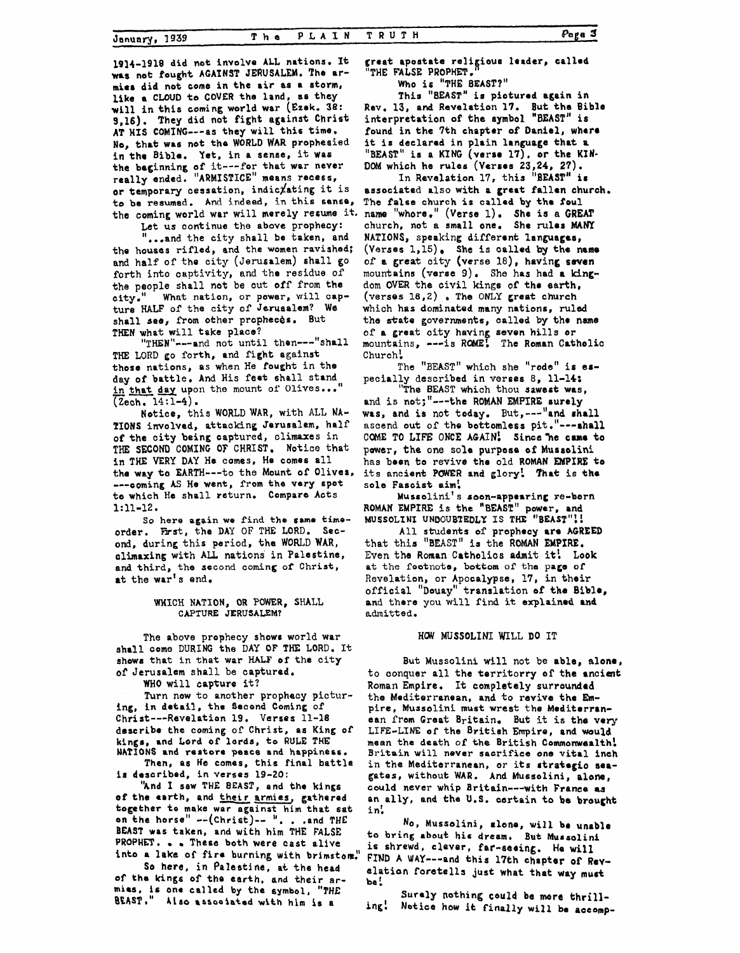19]4-1918 did not **involve** ALL **nations. It was not fought AGAINST JERUSALEM. The armies** did **not come** in **the air 0s a 8torrn, like a CLOUD** to **COVER** the land, **a8** they **will** in **this coming world** war **(Ezek. 38: 9,16). They did** not **fight against** Christ **AT HIS COMING---as** they will this **time, No, thrt was not** the **WORLD WAR** prophesied in **the** Bible. **Yet,** in a sense, it **was the** baginning of it---for that war **never**  really ended. **"ARMISTICE"** means recess, or temporary cessation, indic*lating* it is **to be resumed. And indeed,** in **this** sense, the coming world **war** will merely **refume it,** 

Let **us** continue the above prophecy:

"..,and the **city** shall **bo** taken, **and the housas** rifled, **and the** women ravished; and half of tho city (Jerusalem) **shall** go forth into captivity, and the residue of **the** people **shall** net be cut off from the city," ture **HALF** of the city of **Jerusalem? We**  shall see, from other propheces. But **THEN** what **will** take place? What **nation,** or **power, will** cap-

**TKE** LORD go **forth,** and **fight** against **those** nations, **as** when He fought in **the**  day **of** battle, And His feet shall stand those nations, as when He fought in the<br>day of battle. And His feet shall stand<br>in that day upon the mount of Olives..."<br>(Zoht 14:1-4) (Zech. **14:1-4).**  "THEN"---and not until then---"shall

Notice, this **WORLD WAR,** with ALL **NA-TIONS** involved, attacking Jerusalem, **half**  of **the** city baing captured, climaxes in THE **SECOND** COMING OF CHRIST. **Notice** that in **THE** VERY **DAY Ha** comes, **He** comes **all the way to** EARTH---to the **Mount of Olives,**  ---coming *AS* **He** went, from the very spot to **which He** shall return. Compare **Acts 1:11-12** .

order. First, the DAY OF THE LORD. Sec**ond,** during **this** period, **the WORLD WAR,**  climaxing **with AX** nations in Palestine, **and third, the second coming** *of* **Christ, at the** war's **end. So here again we** find **the same time-**

#### WHICH **NATION, OR POWER, SHALL**  CAPTURE **JERUSALEM?**

**The** above prophecy **shows** world war shall come **DURING** the **DAY OF THE** LORD. It **Show8** that in **that** war HALF of the **city**  of Jerusalem **shall** be captured.

**WHO** will capture it?

Turn **now** to another prophecy picturing, **in detail, the Second** Coming of Christ---Ravelation **19. Verses** 11-18 describe **the** coming of Christ, **as** King **of kings,** and Lord **of lords, to RULE THE NATIONS and restore peace and happineas.** 

**is** described, **in** *verses* **19-20: Then, as He comas, this** final battle

**of the earth,** and **their grmies,** gathered **together to make war against** him Chat **sat on** the **horse''** --(Christ)-- *'I.* . .and **THE BEAST was taken, and with** him **THE FALSE PROPHET. These both were cast** alive **into a lake of fire** burning **with brimston:' 'bnd I sew THE BEAST, and the kings** 

**Sa here, in Palestine,** at **the** head **of the** kings **of the** earth. **and** their **armias, is one called by the symbol, "THE BEAST,'' Also** anaooiatad **with** him **1s a** 

**great apostate reli iaus** leader, **callad "THE FALSE PROPHm.** fi

**Who is "THE BEAST?" This** "BEAST" **is pioturad** again in

**Rev.** 13, **and** Revelation **17. But the** Bible interpretation **of ths rymbol "BEAST"** is found in the 7th chapter of Daniel, where it **is** declared **in** plain language **that a "BEAST" is a KING (verso 17), or the KIN-DOM** which **he rules** (Verses **23,24, 27).** 

associated **also with a** great **fallen church. The false** church **is called** by **the foul**  name "whore." **(Verse** 1). She **is a GREAT**  church, not **a small** one. **She rules MANY NATIONS,** speaking **different languages,**  (Verses **1,15) She** *is* **oalled by the numo**  of **a great** city **(verse 18),** having **seven**  mountains **(verse** 9) , **dom OVER the** civil **kings** of the earth, **(verses lS,2)** . The **ONLY great** church which **has** dominated many nations, ruled the **state governments,** called **by** tho **name**  of a great **city** having **aevon hills** or mountains, **--is** *RW!* **The** Roman Catholic Church! In **Revelation 17,** this **"BEAST" is**  mountains (verse 9). She has had a king-

The **"BEAST"** which she **"rode" is** *er*pecially described **in** verses 8, 11-14:

**"The BEAST** which thou **sawert was,**  and is not;"---the ROMAN EMPIRE surely was, **and is not today. But,---"ond rhrll**  ascend **out** of tho **bottomless** pit **~1'---6hall**  COME TO LIFE ONCE AGAIN! Since he came to power, the one sole purpose of Mussolini has been **to** revive the old **ROMAN WIRE to its ancient POWER and glory! That is thr sole** Fascist **aim!** 

**ROMAN EMPIRE is** the **''BEAST" power,** and **MUSSOLXNI UNDOUBTEDLY IS THE "BEAST"!** ! Mussolini's soon-appearing re-born

**All students of** prophecy **are AGREED that** this "BEAST" **is** the ROMAN **EMPIRE.**  Even the **Roman** Catholios **admit** it! **Look**  at **the** footnote, **bottom** of **the pap of**  Revelation, **or** Apocalypse, **17,** in **their**  official **"Douay"** translation **of the Bible, and** there **you will find** it **explained** and admitted.

#### **HW MUSSOLINI** WILL **DO IT**

But Mussolini will not be **able,** alone, to conquer all the territorry of the ancient **Roman Empire.** It completely surrounded **the** Mediterranean, and to **revive** the **Em**pire, Mussolini must wrest the Mediterranean from Great Britain. **But** it **is the very LIFE-LINE of** the **British** Empire, **and** would mean **the** death of **the** British **Commonwealth! Britain will never sacrifice one vital** inch in the Mediterranean, or its strategio seagates, without **WAR. And Mussolini,** alone, could never whip Britain---with France as<br>an ally, and the U.S. certain to be brought in!

ta **bring** *rbbut* **his dream, But Muroolini is shrewd, clever, fat-seeing.**  He **will**  FIND A WAY---and this 17th chapter of Revelation **foretells just what that way must be! NO, Mussolini,** lone, **will be unable** 

**ing! Notice how it finally will be aceomp- Surely nothing could be more thrill-**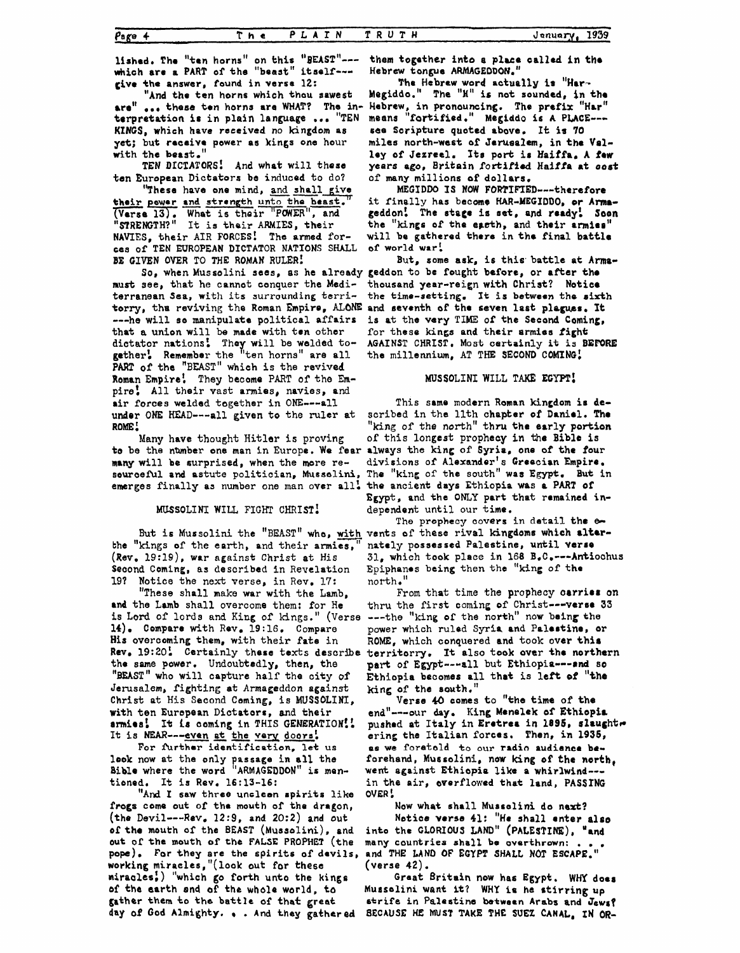January. 1939

lished. The "ten horns" on this "BEAST"--which are a PART of the "beast" itself--give the answer, found in verse 12:

"And the ten horns which thou sawest are" ... these ten horns are WHAT? The in-Hebrew, in pronouncing. The prefix "Har" terpretation is in plain language ... "TEN KINGS, which have received no kingdom as yet; but recaive power as kings one hour with the beast."

TEN DICTATORS! And what will these ten European Dictators be induced to do?

"These have one mind, and shall give their pewer and strength unto the beast. (Verse 13). What is their "POWER", and "STRENGTH?" It is their ARMIES, their NAVIES, their AIR FORCES! The armed forces of TEN EUROPEAN DICTATOR NATIONS SHALL BE GIVEN OVER TO THE ROMAN RULER!

must see, that he cannot conquer the Mediterranean Sea, with its surrounding territorry, the reviving the Roman Empire, ALONE and seventh of the seven last plagues. It ---he will se manipulate political affairs that a union will be made with ten other dictator nations! They will be welded to-<br>gether! Remember the "ten horns" are all PART of the "BEAST" which is the revived Roman Empire! They become PART of the Empire: All their vast armies, navies, and air forces welded together in ONE---all under ONE HEAD---all given to the ruler at ROME!

Many have thought Hitler is proving to be the number one man in Europe. We fear always the king of Syria, one of the four many will be surprised, when the more resourceful and astute politician, Musselini, The "king of the south" was Egypt. But in emerges finally as number one man over all. the ancient days Ethiopia was a PART of

MUSSOLINI WILL FIGHT CHRIST!

the "kings of the earth, and their armies, (Rev. 19:19), war against Christ at His Second Coming, as described in Revelation 19? Notice the next verse, in Rev. 17:

"These shall make war with the Lamb, and the Lamb shall overcome them: for He is Lord of lords and King of kings." (Verse ---the "king of the north" now being the 14). Compare with Rev. 19:16. Compare His overcoming them, with their fate in Rev. 19:20% Certainly these texts describe the same power. Undoubtedly, then, the "BEAST" who will capture half the city of Jerusalem, fighting at Armageddon against Christ at His Second Coming, is MUSSOLINI, with ten European Dictators, and their armies! It is coming in THIS GENERATION!! It is NEAR---even at the very doors!

For further identification, let us look now at the only passage in all the<br>Bible where the word "ARMAGEDDON" is mentioned. It is Rev. 16:13-16:

"And I saw three unclean spirits like frogs come out of the mouth of the dragon, (the Devil---Rev. 12:9, and 20:2) and out of the mouth of the BEAST (Mussolini), and out of the mouth of the FALSE PROPHET (the pope). For they are the spirits of devils, and THE LAND OF EGYPT SHALL NOT ESCAPE." working miracles, "(look out for these miracles,) "which go forth unto the kings of the earth and of the whole world, to gather them to the battle of that great day of God Almighty. . . And they gathered

them together into a place called in the Hebrew tongue ARMAGEDDON."

The Hebrew word actually is "Har-Megiddo." The "H" is not sounded, in the means "fortified." Megiddo is A PLACE --see Scripture quoted above. It is 70 miles north-west of Jerusalem, in the Vallev of Jezreel. Its port is Haiffa. A few years ago, Britain fortified Haiffa at cost of many millions of dollars.

MEGIDDO IS NOW FORTIFIED----therefore it finally has become HAR-MEGIDDO, or Armageddon! The stage is set, and ready! Soon the "kings of the easth, and their armies" will be gathered there in the final battle of world war!

But, some ask, is this battle at Arma-So, when Mussolini sees, as he already geddon to be fought before, or after the thousand year-reign with Christ? Notice the time-setting. It is between the sixth is at the very TIME of the Second Coming, for these kings and their armies fight AGAINST CHRIST. Most certainly it is BEFORE the millennium, AT THE SECOND COMING!

# MUSSOLINI WILL TAKE EGYPT!

This same modern Roman kingdom is described in the llth chapter of Daniel. The "king of the north" thru the early portion of this longest prophecy in the Bible is divisions of Alexander's Greecian Empire. Egypt, and the ONLY part that remained independent until our time.

The prophecy covers in detail the  $\infty$ But is Mussolini the "BEAST" who, with vents of these rival kingdoms which alternately possessed Palestine, until verse 31. which took place in 168 B.C.---Antiochus Epiphanes being then the "king of the north."

From that time the prophecy carries on thru the first coming of Christ---verse 33 power which ruled Syria and Palestine, or ROME, which conquered and took over this territorry. It also took over the northern part of Egypt --- all but Ethiopia --- and so Ethiopia becomes all that is left of "the king of the south."

Verse 40 comes to "the time of the end"---our day. King Menelek of Ethiopia pushed at Italy in Eretrea in 1895, slaught. ering the Italian forces. Then, in 1935, as we foratold to our radio audience beforehand, Mussolini, now king of the north, went against Ethiopia like a whirlwind--in the air, everflowed that land, PASSING OVER!

Now what shall Musselini do next? Notice verse 41: "He shall enter also into the GLORIOUS LAND" (PALESTINE), "and many countries shall be overthrown: .  $(verse 42).$ 

Great Britain now has Egypt. WHY does Musselini want it? WHY is he stirring up strife in Palestine between Arabs and Jews? BECAUSE HE MUST TAKE THE SUEZ CANAL, IN OR-

 $Page +$